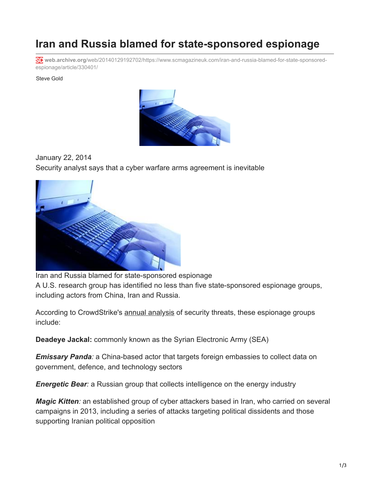## **Iran and Russia blamed for state-sponsored espionage**

**web.archive.org**[/web/20140129192702/https://www.scmagazineuk.com/iran-and-russia-blamed-for-state-sponsored](https://web.archive.org/web/20140129192702/https://www.scmagazineuk.com/iran-and-russia-blamed-for-state-sponsored-espionage/article/330401/)espionage/article/330401/

Steve Gold



January 22, 2014 Security analyst says that a cyber warfare arms agreement is inevitable



Iran and Russia blamed for state-sponsored espionage A U.S. research group has identified no less than five state-sponsored espionage groups, including actors from China, Iran and Russia.

According to CrowdStrike's [annual analysis](https://web.archive.org/web/20140129192702/http://www.crowdstrike.com/global-threat) of security threats, these espionage groups include:

**Deadeye Jackal:** commonly known as the Syrian Electronic Army (SEA)

*Emissary Panda:* a China-based actor that targets foreign embassies to collect data on government, defence, and technology sectors

*Energetic Bear:* a Russian group that collects intelligence on the energy industry

*Magic Kitten:* an established group of cyber attackers based in Iran, who carried on several campaigns in 2013, including a series of attacks targeting political dissidents and those supporting Iranian political opposition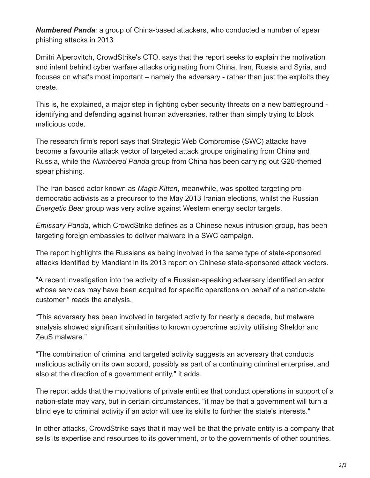*Numbered Panda:* a group of China-based attackers, who conducted a number of spear phishing attacks in 2013

Dmitri Alperovitch, CrowdStrike's CTO, says that the report seeks to explain the motivation and intent behind cyber warfare attacks originating from China, Iran, Russia and Syria, and focuses on what's most important – namely the adversary - rather than just the exploits they create.

This is, he explained, a major step in fighting cyber security threats on a new battleground identifying and defending against human adversaries, rather than simply trying to block malicious code.

The research firm's report says that Strategic Web Compromise (SWC) attacks have become a favourite attack vector of targeted attack groups originating from China and Russia, while the *Numbered Panda* group from China has been carrying out G20-themed spear phishing.

The Iran-based actor known as *Magic Kitten*, meanwhile, was spotted targeting prodemocratic activists as a precursor to the May 2013 Iranian elections, whilst the Russian *Energetic Bear* group was very active against Western energy sector targets.

*Emissary Panda*, which CrowdStrike defines as a Chinese nexus intrusion group, has been targeting foreign embassies to deliver malware in a SWC campaign.

The report highlights the Russians as being involved in the same type of state-sponsored attacks identified by Mandiant in its [2013 report](https://web.archive.org/web/20140129192702/http://www.scmagazineuk.com/mandiant-report-highlights-chinese-cyber-threat-of-apt1/article/280827/) on Chinese state-sponsored attack vectors.

"A recent investigation into the activity of a Russian-speaking adversary identified an actor whose services may have been acquired for specific operations on behalf of a nation-state customer," reads the analysis.

"This adversary has been involved in targeted activity for nearly a decade, but malware analysis showed significant similarities to known cybercrime activity utilising Sheldor and ZeuS malware."

"The combination of criminal and targeted activity suggests an adversary that conducts malicious activity on its own accord, possibly as part of a continuing criminal enterprise, and also at the direction of a government entity," it adds.

The report adds that the motivations of private entities that conduct operations in support of a nation-state may vary, but in certain circumstances, "it may be that a government will turn a blind eye to criminal activity if an actor will use its skills to further the state's interests."

In other attacks, CrowdStrike says that it may well be that the private entity is a company that sells its expertise and resources to its government, or to the governments of other countries.